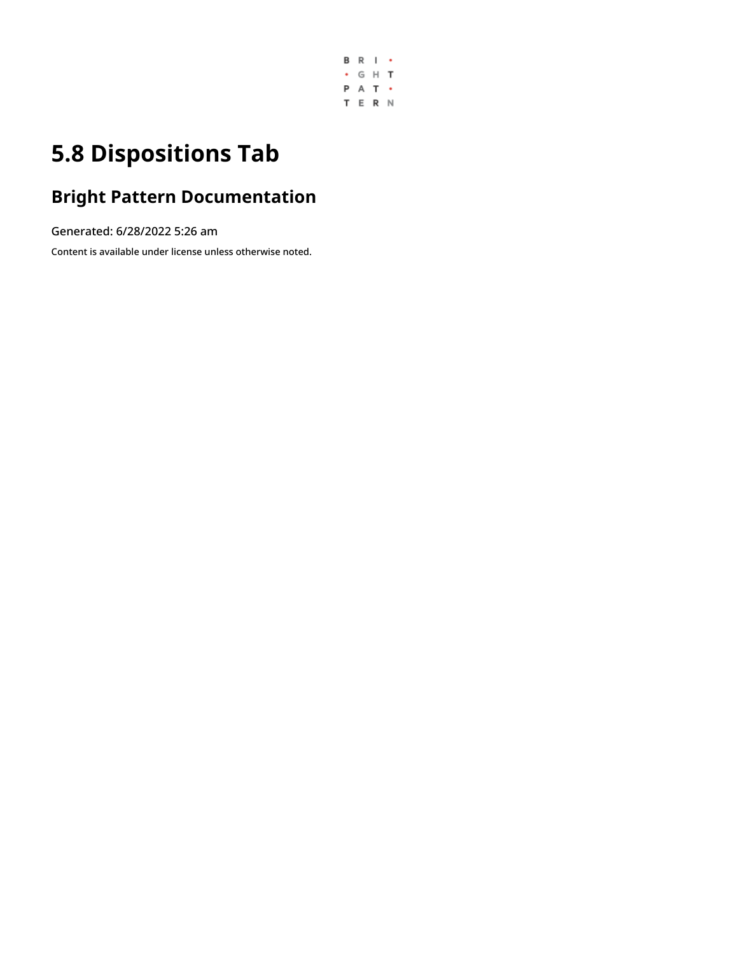

# **5.8 Dispositions Tab**

## **Bright Pattern Documentation**

Generated: 6/28/2022 5:26 am

Content is available under license unless otherwise noted.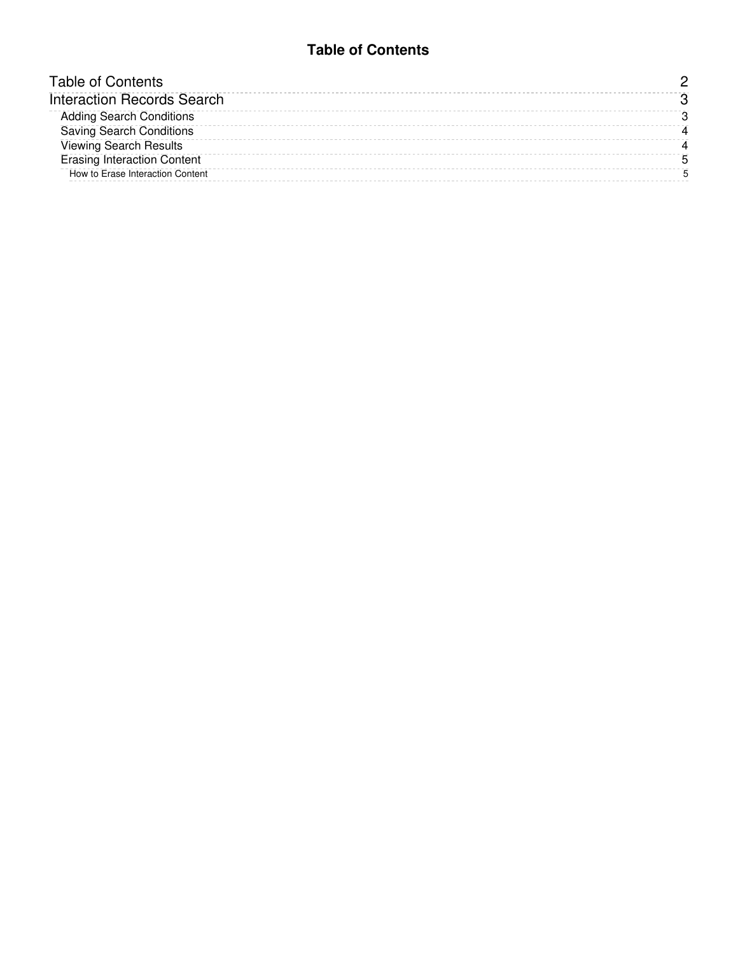#### **Table of Contents**

<span id="page-1-0"></span>

| Table of Contents                  |  |
|------------------------------------|--|
| <b>Interaction Records Search</b>  |  |
| <b>Adding Search Conditions</b>    |  |
| <b>Saving Search Conditions</b>    |  |
| <b>Viewing Search Results</b>      |  |
| <b>Erasing Interaction Content</b> |  |
| How to Erase Interaction Content   |  |
|                                    |  |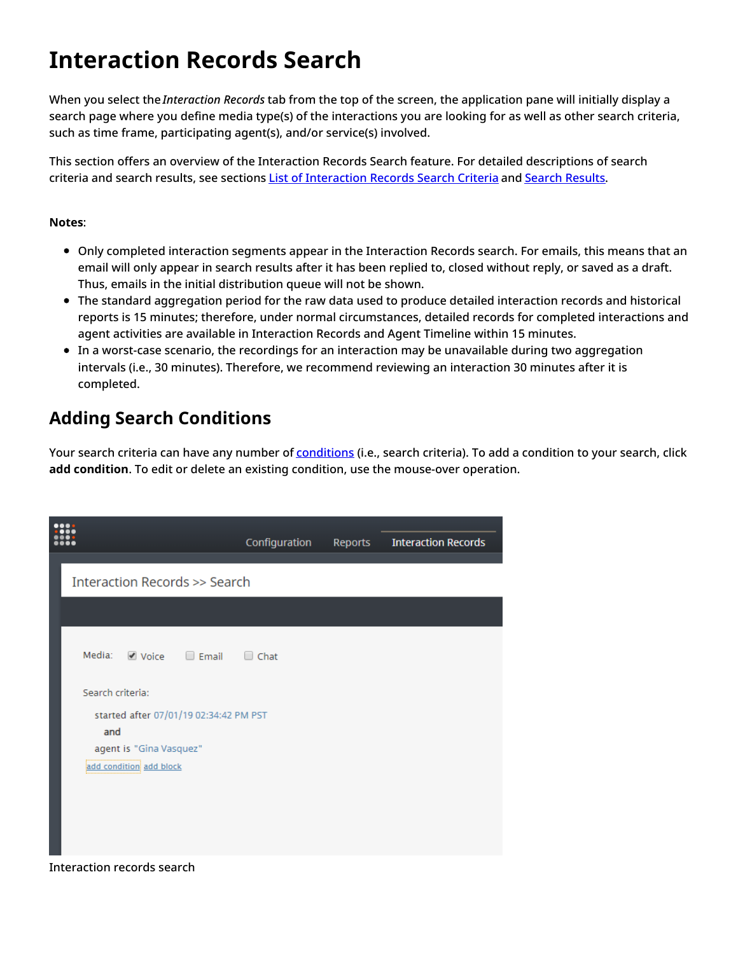## <span id="page-2-0"></span>**Interaction Records Search**

When you select the *Interaction Records* tab from the top of the screen, the application pane will initially display a search page where you define media type(s) of the interactions you are looking for as well as other search criteria, such as time frame, participating agent(s), and/or service(s) involved.

This section offers an overview of the Interaction Records Search feature. For detailed descriptions of search criteria and search results, see sections List of [Interaction](https://help.brightpattern.com/5.8:Contact-center-administrator-guide/ServicesandCampaigns/DispositionsTab/?action=html-localimages-export#topic_reporting-reference-guide.2Flistofinteractionrecordssearchcriteria) Records Search Criteria and Search [Results](https://help.brightpattern.com/5.8:Contact-center-administrator-guide/ServicesandCampaigns/DispositionsTab/?action=html-localimages-export#topic_reporting-reference-guide.2Funderstandinginteractionrecordssearchresults).

#### **Notes**:

- Only completed interaction segments appear in the Interaction Records search. For emails, this means that an email will only appear in search results after it has been replied to, closed without reply, or saved as a draft. Thus, emails in the initial distribution queue will not be shown.
- The standard aggregation period for the raw data used to produce detailed interaction records and historical reports is 15 minutes; therefore, under normal circumstances, detailed records for completed interactions and agent activities are available in Interaction Records and Agent Timeline within 15 minutes.
- In a worst-case scenario, the recordings for an interaction may be unavailable during two aggregation intervals (i.e., 30 minutes). Therefore, we recommend reviewing an interaction 30 minutes after it is completed.

### <span id="page-2-1"></span>**Adding Search Conditions**

Your search criteria can have any number of [conditions](https://help.brightpattern.com/5.8:Contact-center-administrator-guide/ServicesandCampaigns/DispositionsTab/?action=html-localimages-export#topic_reporting-reference-guide.2Flistofinteractionrecordssearchcriteria) (i.e., search criteria). To add a condition to your search, click **add condition**. To edit or delete an existing condition, use the mouse-over operation.

|                                            | Configuration | Reports | <b>Interaction Records</b> |
|--------------------------------------------|---------------|---------|----------------------------|
| <b>Interaction Records &gt;&gt; Search</b> |               |         |                            |
|                                            |               |         |                            |
| Media: Ø Voice □ Email                     | $\Box$ Chat   |         |                            |
| Search criteria:                           |               |         |                            |
| started after 07/01/19 02:34:42 PM PST     |               |         |                            |
| and                                        |               |         |                            |
| agent is "Gina Vasquez"                    |               |         |                            |
| add condition add block                    |               |         |                            |
| <b>Interaction records search</b>          |               |         |                            |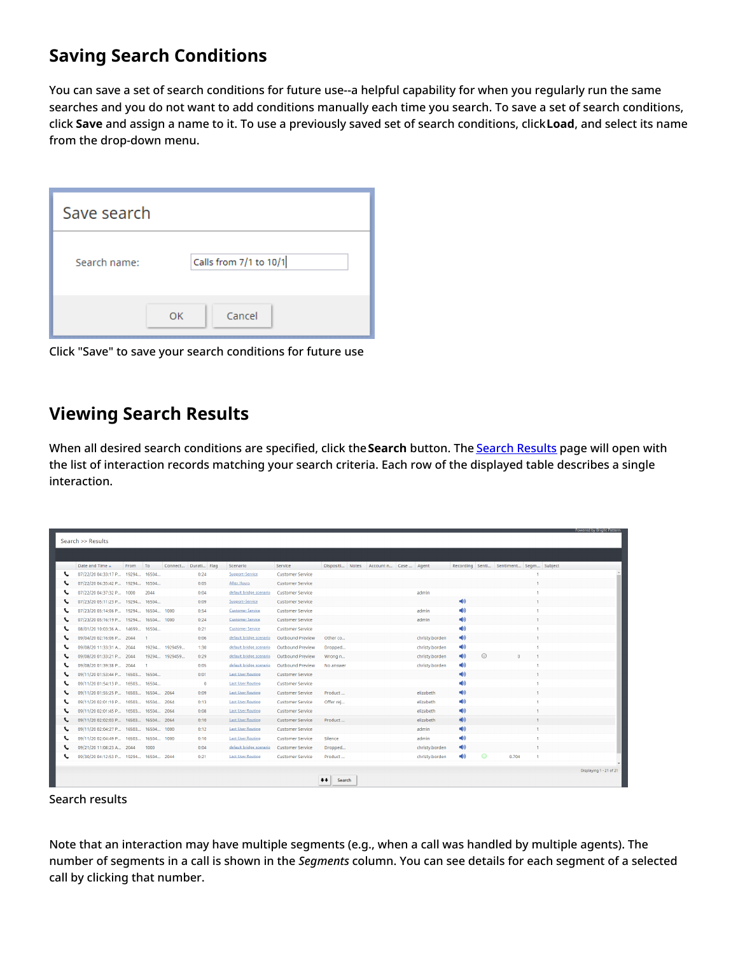### <span id="page-3-0"></span>**Saving Search Conditions**

You can save a set of search conditions for future use--a helpful capability for when you regularly run the same searches and you do not want to add conditions manually each time you search. To save a set of search conditions, click **Save** and assign a name to it. To use a previously saved set of search conditions, click**Load**, and select its name from the drop-down menu.

| Save search  |                        |
|--------------|------------------------|
| Search name: | Calls from 7/1 to 10/1 |
|              | Cancel<br>OK           |

Click "Save" to save your search conditions for future use

#### <span id="page-3-1"></span>**Viewing Search Results**

When all desired search conditions are specified, click the**Search** button. The Search [Results](https://help.brightpattern.com/5.8:Contact-center-administrator-guide/ServicesandCampaigns/DispositionsTab/?action=html-localimages-export#topic_reporting-reference-guide.2Funderstandinginteractionrecordssearchresults) page will open with the list of interaction records matching your search criteria. Each row of the displayed table describes a single interaction.

|                   |                                               |         |                |               |                     |                          |                         |            |  |                                       |                |                        |   |                                        |                | Powered by Bright Pattern |
|-------------------|-----------------------------------------------|---------|----------------|---------------|---------------------|--------------------------|-------------------------|------------|--|---------------------------------------|----------------|------------------------|---|----------------------------------------|----------------|---------------------------|
| Search >> Results |                                               |         |                |               |                     |                          |                         |            |  |                                       |                |                        |   |                                        |                |                           |
|                   |                                               |         |                |               |                     |                          |                         |            |  |                                       |                |                        |   |                                        |                |                           |
|                   |                                               |         |                |               |                     |                          |                         |            |  |                                       |                |                        |   |                                        |                |                           |
|                   | Date and Time $\triangle$                     | From To |                |               | Connect Durati Flag | Scenario                 | Service                 |            |  | Dispositi Notes Account n Case  Agent |                |                        |   | Recording Senti Sentiment Segm Subject |                |                           |
|                   | 07/22/20 04:33:17 P 19294 16504               |         |                |               | 0:24                | Support-Service          | <b>Customer Service</b> |            |  |                                       |                |                        |   |                                        |                |                           |
|                   | 07/22/20 04:35:42 P 19294 16504               |         |                |               | 0:05                | After Hours              | <b>Customer Service</b> |            |  |                                       |                |                        |   |                                        | $\mathbf{1}$   |                           |
|                   | 07/22/20 04:37:32 P.,, 1000                   |         | 2044           |               | 0:04                | default bridge scenario  | <b>Customer Service</b> |            |  |                                       | admin          |                        |   |                                        |                |                           |
|                   | 07/23/20 05:11:23 P 19294 16504               |         |                |               | 0:09                | Support-Service          | <b>Customer Service</b> |            |  |                                       |                | $= 0$                  |   |                                        | $\mathbf{1}$   |                           |
|                   | 07/23/20 05:14:06 P.,, 19294,,, 16504,,, 1000 |         |                |               | 0:54                | <b>Customer Service</b>  | <b>Customer Service</b> |            |  |                                       | admin          |                        |   |                                        |                |                           |
|                   | 07/23/20 05:16:19 P.,, 19294.,, 16504.,, 1000 |         |                |               | 0:24                | <b>Customer Service</b>  | <b>Customer Service</b> |            |  |                                       | admin          | ■协                     |   |                                        |                |                           |
|                   | 08/01/20 10:03:36 A.,. 14699 16504            |         |                |               | 0:21                | <b>Customer Service</b>  | <b>Customer Service</b> |            |  |                                       |                | ■协                     |   |                                        |                |                           |
|                   | 09/04/20 02:16:06 P 2044                      |         | $\overline{1}$ |               | 0:06                | default bridge scenario  | Outbound Preview        | Other co   |  |                                       | christy.borden | ■(1)                   |   |                                        | 1.             |                           |
|                   | 09/08/20 11:33:31 A.,. 2044                   |         |                | 19294 1929459 | 1:30                | default bridge scenario  | Outbound Preview        | Dropped    |  |                                       | christy.borden | ◀◎                     |   |                                        | л.             |                           |
|                   | 09/08/20 01:33:21 P 2044                      |         |                | 19294 1929459 | 0:29                | default bridge scenario  | Outbound Preview        | Wrong n    |  |                                       | christy.borden | 一切                     | ⊙ | $\Omega$                               | $\mathbf{1}$   |                           |
|                   | 09/08/20 01:39:38 P 2044                      |         |                |               | 0:05                | default bridge scenario  | Outbound Preview        | No answer  |  |                                       | christy.borden | ●                      |   |                                        |                |                           |
|                   | 09/11/20 01:53:44 P 16503 16504               |         |                |               | 0:01                | <b>Last User Routing</b> | <b>Customer Service</b> |            |  |                                       |                | $= 0$                  |   |                                        |                |                           |
|                   | 09/11/20 01:54:13 P.,. 16503 16504            |         |                |               | $\Omega$            | <b>Last User Routing</b> | <b>Customer Service</b> |            |  |                                       |                | ■协                     |   |                                        |                |                           |
|                   | 09/11/20 01:55:25 P 16503 16504 2064          |         |                |               | 0:09                | <b>Last User Routing</b> | <b>Customer Service</b> | Product    |  |                                       | elizabeth      | $\blacktriangleleft$   |   |                                        | $\mathbf{1}$   |                           |
|                   | 09/11/20 02:01:10 P 16503 16504 2064          |         |                |               | 0:13                | <b>Last User Routing</b> | <b>Customer Service</b> | Offer rei  |  |                                       | elizabeth      | $\blacktriangleleft$   |   |                                        |                |                           |
|                   | 09/11/20 02:01:45 P 16503 16504 2064          |         |                |               | 0:08                | <b>Last User Routing</b> | <b>Customer Service</b> |            |  |                                       | elizabeth      | 一个                     |   |                                        |                |                           |
|                   | 09/11/20 02:02:03 P.,. 16503.,. 16504.,. 2064 |         |                |               | 0:10                | <b>Last User Routing</b> | <b>Customer Service</b> | Product    |  |                                       | elizabeth      | <b>司</b>               |   |                                        |                |                           |
|                   | 09/11/20 02:04:27 P 16503 16504 1000          |         |                |               | 0:12                | <b>Last User Routing</b> | <b>Customer Service</b> |            |  |                                       | admin          | $\blacktriangleleft 0$ |   |                                        | $\mathbf{1}$   |                           |
|                   | 09/11/20 02:04:49 P., 16503., 16504., 1000    |         |                |               | 0:10                | <b>Last User Routing</b> | <b>Customer Service</b> | Silence    |  |                                       | admin          | 一物                     |   |                                        | $\overline{1}$ |                           |
|                   | 09/21/20 11:08:23 A 2044                      |         | 1000           |               | 0:04                | default bridge scenario  | <b>Customer Service</b> | Dropped    |  |                                       | christy.borden | 一个                     |   |                                        | $\mathbf{1}$   |                           |
|                   | 09/30/20 04:12:53 P 19294 16504 2044          |         |                |               | 0:21                | <b>Last User Routing</b> | <b>Customer Service</b> | Product    |  |                                       | christy.borden | $\blacksquare$         | ☺ | 0.704                                  | $\overline{1}$ |                           |
|                   |                                               |         |                |               |                     |                          |                         |            |  |                                       |                |                        |   |                                        |                | Displaying 1 - 21 of 21   |
|                   |                                               |         |                |               |                     |                          |                         |            |  |                                       |                |                        |   |                                        |                |                           |
|                   |                                               |         |                |               |                     |                          |                         | Search<br> |  |                                       |                |                        |   |                                        |                |                           |

#### Search results

Note that an interaction may have multiple segments (e.g., when a call was handled by multiple agents). The number of segments in a call is shown in the *Segments* column. You can see details for each segment of a selected call by clicking that number.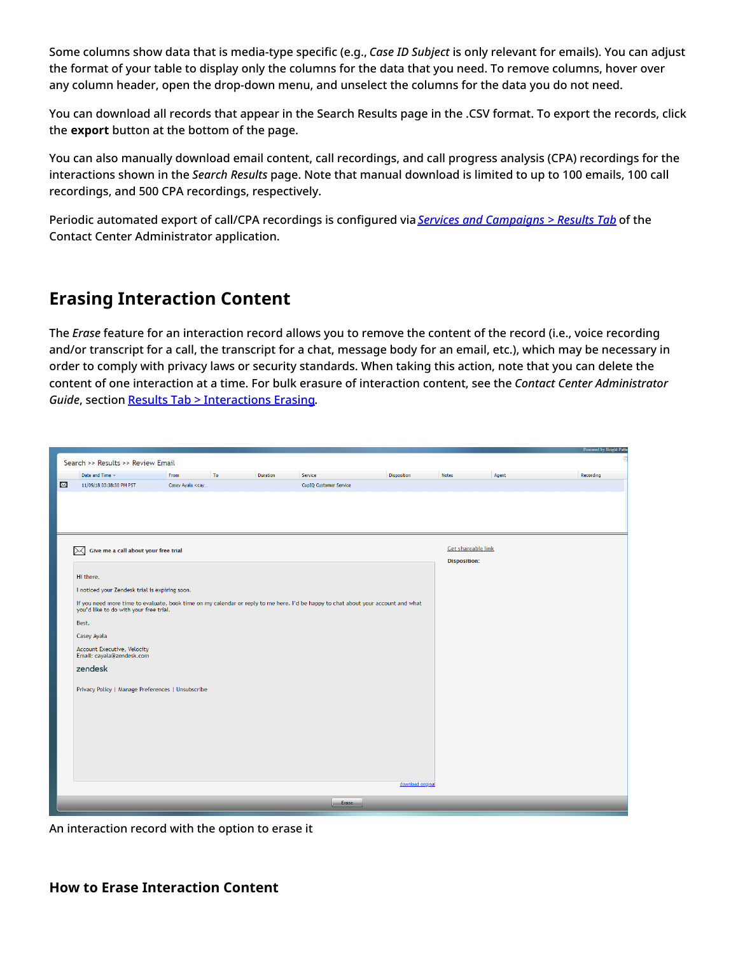Some columns show data that is media-type specific (e.g., *Case ID Subject* is only relevant for emails). You can adjust the format of your table to display only the columns for the data that you need. To remove columns, hover over any column header, open the drop-down menu, and unselect the columns for the data you do not need.

You can download all records that appear in the Search Results page in the .CSV format. To export the records, click the **export** button at the bottom of the page.

You can also manually download email content, call recordings, and call progress analysis (CPA) recordings for the interactions shown in the *Search Results* page. Note that manual download is limited to up to 100 emails, 100 call recordings, and 500 CPA recordings, respectively.

Periodic automated export of call/CPA recordings is configured via *Services and [Campaigns](https://help.brightpattern.com/5.8:Contact-center-administrator-guide/ServicesandCampaigns/DispositionsTab/?action=html-localimages-export#topic_contact-center-administrator-guide.2Fresultstab) > Results Tab* of the Contact Center Administrator application.

### <span id="page-4-0"></span>**Erasing Interaction Content**

The *Erase* feature for an interaction record allows you to remove the content of the record (i.e., voice recording and/or transcript for a call, the transcript for a chat, message body for an email, etc.), which may be necessary in order to comply with privacy laws or security standards. When taking this action, note that you can delete the content of one interaction at a time. For bulk erasure of interaction content, see the *Contact Center Administrator Guide*, section Results Tab > [Interactions](https://help.brightpattern.com/5.8:Contact-center-administrator-guide/ResultsTab#Interactions_Erasing) Erasing.

|           |                                                                                                                                   |                                                                                                                      |    |          |                        |                   |                           |       | Powered by Bright Patte |
|-----------|-----------------------------------------------------------------------------------------------------------------------------------|----------------------------------------------------------------------------------------------------------------------|----|----------|------------------------|-------------------|---------------------------|-------|-------------------------|
|           | Search >> Results >> Review Email                                                                                                 |                                                                                                                      |    |          |                        |                   |                           |       |                         |
|           | Date and Time +                                                                                                                   | From                                                                                                                 | To | Duration | Service                | Disposition       | <b>Notes</b>              | Agent | Recording               |
| $\bowtie$ | 11/09/18 03:38:30 PM PST                                                                                                          | Casey Ayala <cay< th=""><th></th><th></th><th>CupIQ Customer Service</th><th></th><th></th><th></th><th></th></cay<> |    |          | CupIQ Customer Service |                   |                           |       |                         |
|           |                                                                                                                                   |                                                                                                                      |    |          |                        |                   |                           |       |                         |
|           |                                                                                                                                   |                                                                                                                      |    |          |                        |                   |                           |       |                         |
|           |                                                                                                                                   |                                                                                                                      |    |          |                        |                   |                           |       |                         |
|           |                                                                                                                                   |                                                                                                                      |    |          |                        |                   |                           |       |                         |
|           |                                                                                                                                   |                                                                                                                      |    |          |                        |                   |                           |       |                         |
|           | Give me a call about your free trial<br>$\times$                                                                                  |                                                                                                                      |    |          |                        |                   | <b>Get shareable link</b> |       |                         |
|           |                                                                                                                                   |                                                                                                                      |    |          |                        |                   | <b>Disposition:</b>       |       |                         |
|           | Hi there,                                                                                                                         |                                                                                                                      |    |          |                        |                   |                           |       |                         |
|           | I noticed your Zendesk trial is expiring soon.                                                                                    |                                                                                                                      |    |          |                        |                   |                           |       |                         |
|           | If you need more time to evaluate, book time on my calendar or reply to me here. I'd be happy to chat about your account and what |                                                                                                                      |    |          |                        |                   |                           |       |                         |
|           | you'd like to do with your free trial.                                                                                            |                                                                                                                      |    |          |                        |                   |                           |       |                         |
|           | Best,                                                                                                                             |                                                                                                                      |    |          |                        |                   |                           |       |                         |
|           | Casey Ayala                                                                                                                       |                                                                                                                      |    |          |                        |                   |                           |       |                         |
|           | Account Executive, Velocity<br>Email: cayala@zendesk.com                                                                          |                                                                                                                      |    |          |                        |                   |                           |       |                         |
|           | zendesk                                                                                                                           |                                                                                                                      |    |          |                        |                   |                           |       |                         |
|           |                                                                                                                                   |                                                                                                                      |    |          |                        |                   |                           |       |                         |
|           | Privacy Policy   Manage Preferences   Unsubscribe                                                                                 |                                                                                                                      |    |          |                        |                   |                           |       |                         |
|           |                                                                                                                                   |                                                                                                                      |    |          |                        |                   |                           |       |                         |
|           |                                                                                                                                   |                                                                                                                      |    |          |                        |                   |                           |       |                         |
|           |                                                                                                                                   |                                                                                                                      |    |          |                        |                   |                           |       |                         |
|           |                                                                                                                                   |                                                                                                                      |    |          |                        |                   |                           |       |                         |
|           |                                                                                                                                   |                                                                                                                      |    |          |                        |                   |                           |       |                         |
|           |                                                                                                                                   |                                                                                                                      |    |          |                        |                   |                           |       |                         |
|           |                                                                                                                                   |                                                                                                                      |    |          |                        |                   |                           |       |                         |
|           |                                                                                                                                   |                                                                                                                      |    |          |                        | download original |                           |       |                         |
|           |                                                                                                                                   |                                                                                                                      |    |          |                        |                   |                           |       |                         |
|           |                                                                                                                                   |                                                                                                                      |    |          | Erase                  |                   |                           |       |                         |
|           |                                                                                                                                   |                                                                                                                      |    |          |                        |                   |                           |       |                         |

<span id="page-4-1"></span>An interaction record with the option to erase it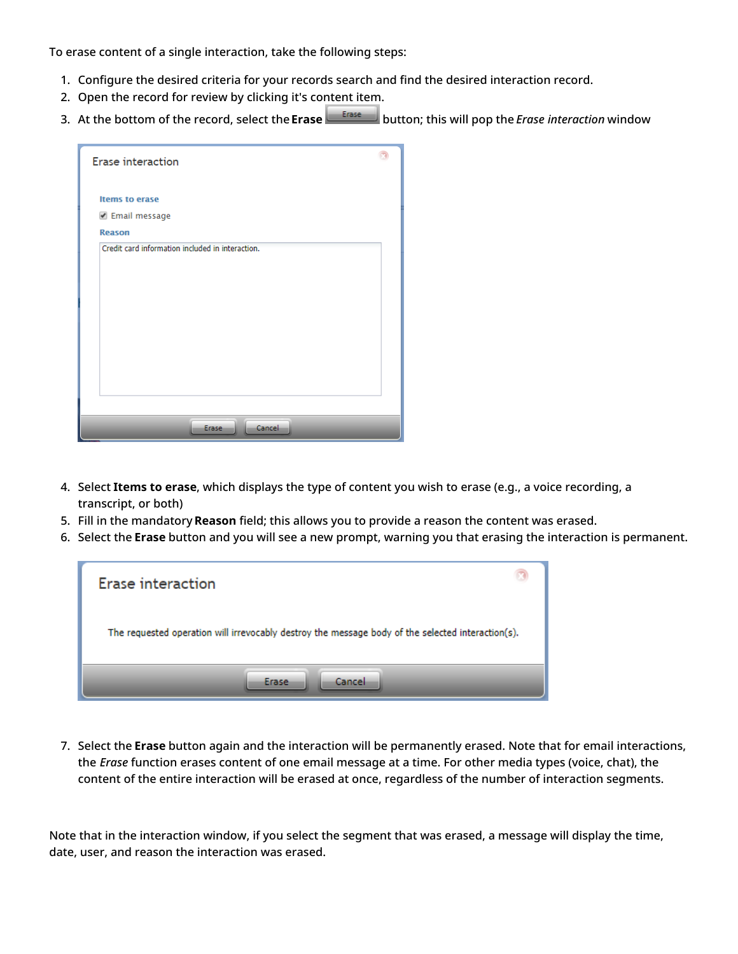To erase content of a single interaction, take the following steps:

- 1. Configure the desired criteria for your records search and find the desired interaction record.
- 2. Open the record for review by clicking it's content item.
- 3. At the bottom of the record, select the**Erase** button; this will pop the *Erase interaction* window

| <b>Erase interaction</b>                         |  |
|--------------------------------------------------|--|
| Items to erase                                   |  |
| ☑ Email message                                  |  |
| <b>Reason</b>                                    |  |
| Credit card information included in interaction. |  |
|                                                  |  |
|                                                  |  |
|                                                  |  |
|                                                  |  |
|                                                  |  |
|                                                  |  |
|                                                  |  |
|                                                  |  |
|                                                  |  |
| Cancel<br>Erase                                  |  |

- 4. Select **Items to erase**, which displays the type of content you wish to erase (e.g., a voice recording, a transcript, or both)
- 5. Fill in the mandatory **Reason** field; this allows you to provide a reason the content was erased.
- 6. Select the **Erase** button and you will see a new prompt, warning you that erasing the interaction is permanent.

| Erase interaction                                                                                 |  |
|---------------------------------------------------------------------------------------------------|--|
| The requested operation will irrevocably destroy the message body of the selected interaction(s). |  |
| Cancel<br>Erase                                                                                   |  |

7. Select the **Erase** button again and the interaction will be permanently erased. Note that for email interactions, the *Erase* function erases content of one email message at a time. For other media types (voice, chat), the content of the entire interaction will be erased at once, regardless of the number of interaction segments.

Note that in the interaction window, if you select the segment that was erased, a message will display the time, date, user, and reason the interaction was erased.